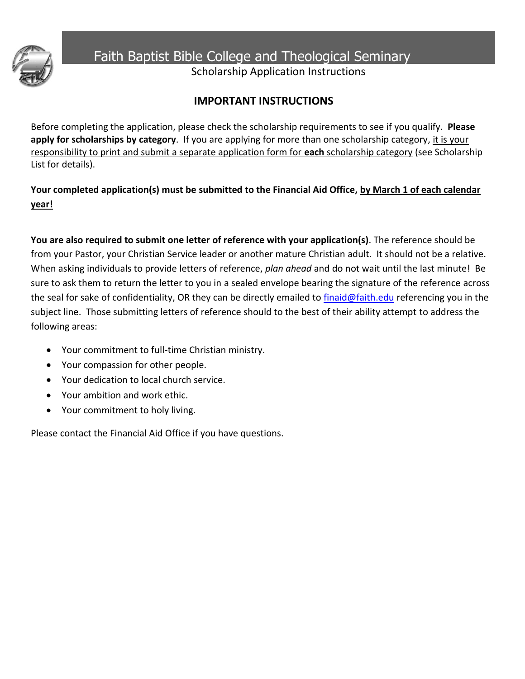

Faith Baptist Bible College and Theological Seminary

Scholarship Application Instructions

# **IMPORTANT INSTRUCTIONS**

Before completing the application, please check the scholarship requirements to see if you qualify. **Please**  apply for scholarships by category. If you are applying for more than one scholarship category, it is your responsibility to print and submit a separate application form for **each** scholarship category (see Scholarship List for details).

**Your completed application(s) must be submitted to the Financial Aid Office, by March 1 of each calendar year!**

**You are also required to submit one letter of reference with your application(s)**. The reference should be from your Pastor, your Christian Service leader or another mature Christian adult. It should not be a relative. When asking individuals to provide letters of reference, *plan ahead* and do not wait until the last minute! Be sure to ask them to return the letter to you in a sealed envelope bearing the signature of the reference across the seal for sake of confidentiality, OR they can be directly emailed to finaid@faith.edu referencing you in the subject line. Those submitting letters of reference should to the best of their ability attempt to address the following areas:

- Your commitment to full-time Christian ministry.
- Your compassion for other people.
- Your dedication to local church service.
- Your ambition and work ethic.
- Your commitment to holy living.

Please contact the Financial Aid Office if you have questions.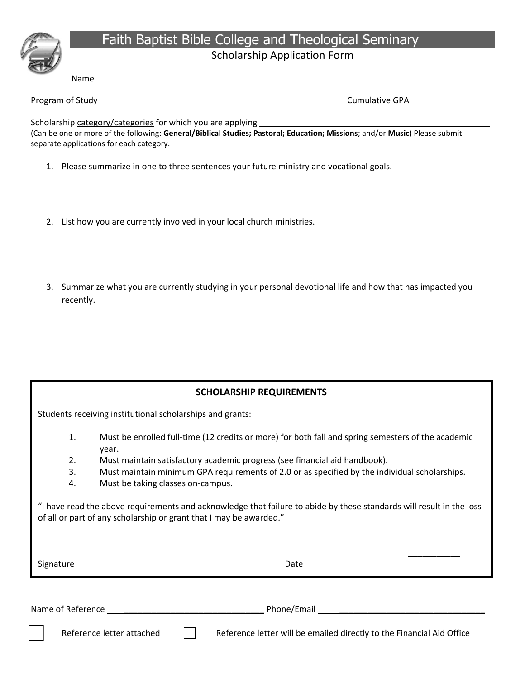# Faith Baptist Bible College and Theological Seminary

# Scholarship Application Form

Name

Program of Study **Cumulative GPA** 

Scholarship category/categories for which you are applying \_\_\_\_\_\_

(Can be one or more of the following: **General/Biblical Studies; Pastoral; Education; Missions**; and/or **Music**) Please submit separate applications for each category.

- 1. Please summarize in one to three sentences your future ministry and vocational goals.
- 2. List how you are currently involved in your local church ministries.
- 3. Summarize what you are currently studying in your personal devotional life and how that has impacted you recently.

Students receiving institutional scholarships and grants:

- 1. Must be enrolled full-time (12 credits or more) for both fall and spring semesters of the academic year.
- 2. Must maintain satisfactory academic progress (see financial aid handbook).
- 3. Must maintain minimum GPA requirements of 2.0 or as specified by the individual scholarships.
- 4. Must be taking classes on-campus.

"I have read the above requirements and acknowledge that failure to abide by these standards will result in the loss of all or part of any scholarship or grant that I may be awarded."

Signature Date Date Date Date Date

**\_\_\_\_\_\_\_\_\_\_\_**

Name of Reference **the contract of the contract of the contract of the contract of the contract of the contract of the contract of the contract of the contract of the contract of the contract of the contract of the contrac** Reference letter attached  $\|\cdot\|$  Reference letter will be emailed directly to the Financial Aid Office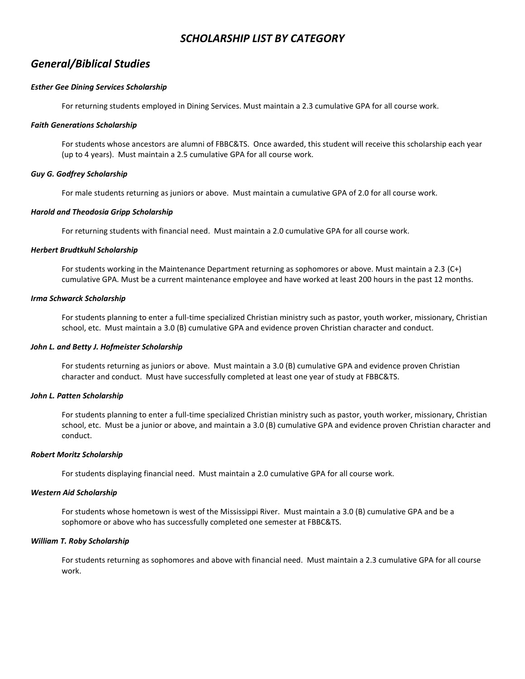# *SCHOLARSHIP LIST BY CATEGORY*

# *General/Biblical Studies*

## *Esther Gee Dining Services Scholarship*

For returning students employed in Dining Services. Must maintain a 2.3 cumulative GPA for all course work.

## *Faith Generations Scholarship*

For students whose ancestors are alumni of FBBC&TS. Once awarded, this student will receive this scholarship each year (up to 4 years). Must maintain a 2.5 cumulative GPA for all course work.

## *Guy G. Godfrey Scholarship*

For male students returning as juniors or above. Must maintain a cumulative GPA of 2.0 for all course work.

#### *Harold and Theodosia Gripp Scholarship*

For returning students with financial need. Must maintain a 2.0 cumulative GPA for all course work.

## *Herbert Brudtkuhl Scholarship*

For students working in the Maintenance Department returning as sophomores or above. Must maintain a 2.3 (C+) cumulative GPA. Must be a current maintenance employee and have worked at least 200 hours in the past 12 months.

#### *Irma Schwarck Scholarship*

For students planning to enter a full-time specialized Christian ministry such as pastor, youth worker, missionary, Christian school, etc. Must maintain a 3.0 (B) cumulative GPA and evidence proven Christian character and conduct.

## *John L. and Betty J. Hofmeister Scholarship*

For students returning as juniors or above. Must maintain a 3.0 (B) cumulative GPA and evidence proven Christian character and conduct. Must have successfully completed at least one year of study at FBBC&TS.

#### *John L. Patten Scholarship*

For students planning to enter a full-time specialized Christian ministry such as pastor, youth worker, missionary, Christian school, etc. Must be a junior or above, and maintain a 3.0 (B) cumulative GPA and evidence proven Christian character and conduct.

#### *Robert Moritz Scholarship*

For students displaying financial need. Must maintain a 2.0 cumulative GPA for all course work.

#### *Western Aid Scholarship*

For students whose hometown is west of the Mississippi River. Must maintain a 3.0 (B) cumulative GPA and be a sophomore or above who has successfully completed one semester at FBBC&TS.

#### *William T. Roby Scholarship*

For students returning as sophomores and above with financial need. Must maintain a 2.3 cumulative GPA for all course work.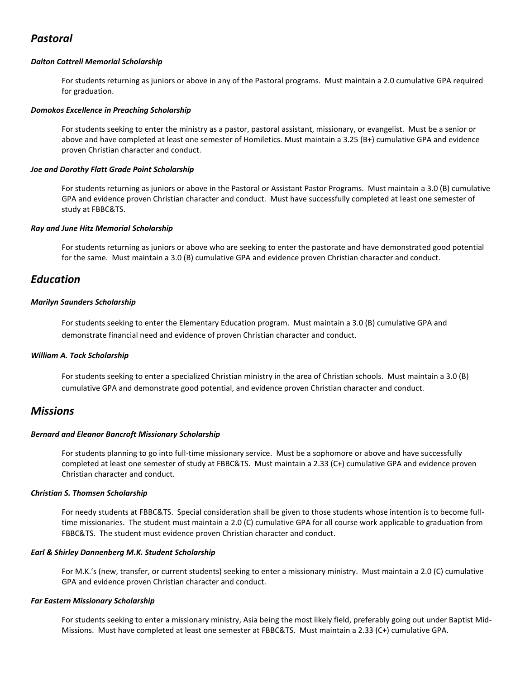# *Pastoral*

## *Dalton Cottrell Memorial Scholarship*

For students returning as juniors or above in any of the Pastoral programs. Must maintain a 2.0 cumulative GPA required for graduation.

## *Domokos Excellence in Preaching Scholarship*

For students seeking to enter the ministry as a pastor, pastoral assistant, missionary, or evangelist. Must be a senior or above and have completed at least one semester of Homiletics. Must maintain a 3.25 (B+) cumulative GPA and evidence proven Christian character and conduct.

## *Joe and Dorothy Flatt Grade Point Scholarship*

For students returning as juniors or above in the Pastoral or Assistant Pastor Programs. Must maintain a 3.0 (B) cumulative GPA and evidence proven Christian character and conduct. Must have successfully completed at least one semester of study at FBBC&TS.

#### *Ray and June Hitz Memorial Scholarship*

For students returning as juniors or above who are seeking to enter the pastorate and have demonstrated good potential for the same. Must maintain a 3.0 (B) cumulative GPA and evidence proven Christian character and conduct.

# *Education*

## *Marilyn Saunders Scholarship*

For students seeking to enter the Elementary Education program. Must maintain a 3.0 (B) cumulative GPA and demonstrate financial need and evidence of proven Christian character and conduct.

# *William A. Tock Scholarship*

For students seeking to enter a specialized Christian ministry in the area of Christian schools. Must maintain a 3.0 (B) cumulative GPA and demonstrate good potential, and evidence proven Christian character and conduct.

# *Missions*

#### *Bernard and Eleanor Bancroft Missionary Scholarship*

For students planning to go into full-time missionary service. Must be a sophomore or above and have successfully completed at least one semester of study at FBBC&TS. Must maintain a 2.33 (C+) cumulative GPA and evidence proven Christian character and conduct.

# *Christian S. Thomsen Scholarship*

For needy students at FBBC&TS. Special consideration shall be given to those students whose intention is to become fulltime missionaries. The student must maintain a 2.0 (C) cumulative GPA for all course work applicable to graduation from FBBC&TS. The student must evidence proven Christian character and conduct.

# *Earl & Shirley Dannenberg M.K. Student Scholarship*

For M.K.'s (new, transfer, or current students) seeking to enter a missionary ministry. Must maintain a 2.0 (C) cumulative GPA and evidence proven Christian character and conduct.

#### *Far Eastern Missionary Scholarship*

For students seeking to enter a missionary ministry, Asia being the most likely field, preferably going out under Baptist Mid-Missions. Must have completed at least one semester at FBBC&TS. Must maintain a 2.33 (C+) cumulative GPA.